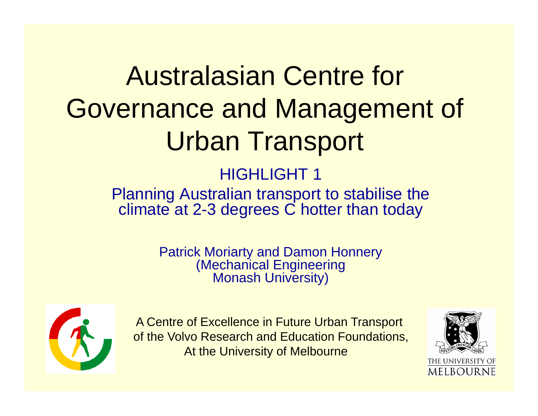# Australasian Centre for Governance and Management of Urban Transport

#### HIGHLIGHT 1

#### Planning Australian transport to stabilise the climate at 2-3 degrees C hotter than today

Patrick Moriarty and Damon Honnery (Mechanical Engineering Monash University)



A Centre of Excellence in Future Urban Transport of the Volvo Research and Education Foundations, At the University of Melbourne

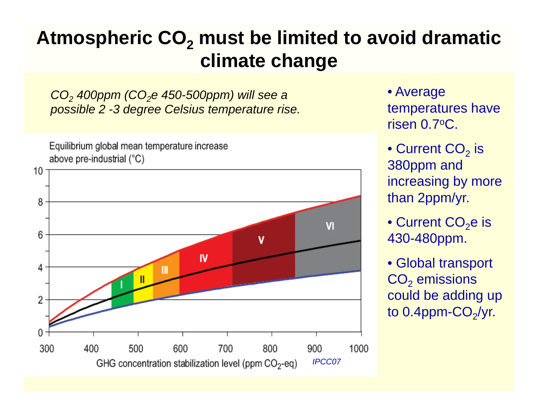### Atmospheric CO<sub>2</sub> must be limited to avoid dramatic **climate change**

*CO2 400ppm (CO2e 450-500ppm) will see a possible 2 -3 degree Celsius temperature rise.*

Equilibrium global mean temperature increase above pre-industrial (°C)



• Average temperatures have risen 0.7oC.

- $\bullet$  Current CO $_2$  is . 380ppm and increasing by more than 2ppm/yr.
- $\bullet$  Current CO<sub>2</sub>e is 430-480ppm.

• Global transport  $\mathsf{CO}_2$  emissions could be adding up to  $0.4$ ppm-CO<sub>2</sub>/yr.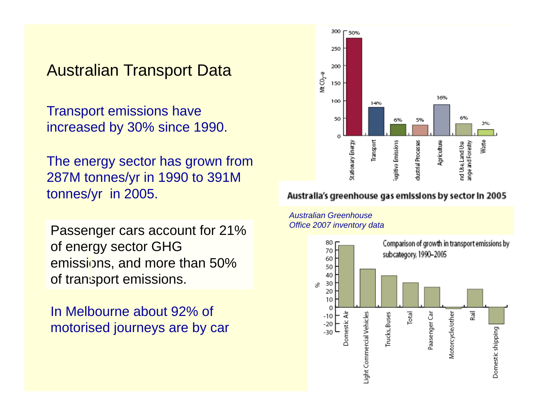Australian Transport Data

Transport emissions have increased by 30% since 1990.

The energy sector has grown from 287M tonnes/yr in 1990 to 391M tonnes/yr in 2005.

Passenger cars account for 21% of energy sector GHG emissions, and more than 50% of transport emissions.

In Melbourne about 92% of motorised journeys are by car



#### Australia's greenhouse gas emissions by sector in 2005

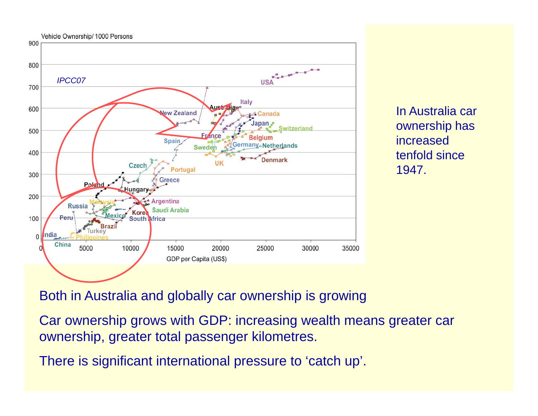

In Australia car ownership has increased tenfold since 1947.

Both in Australia and globally car ownership is growing

Car ownership grows with GDP: increasing wealth means greater car ownership, greater total passenger kilometres.

There is significant international pressure to 'catch up'.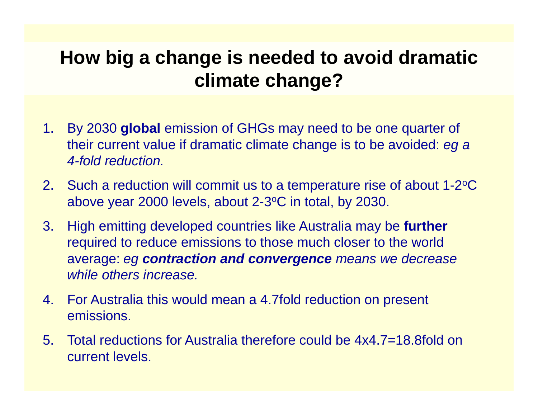### **How big a change is needed to avoid dramatic climate change?**

- 1. By 2030 **global** emission of GHGs may need to be one quarter of their current value if dramatic climate change is to be avoided: *eg a 4-fold reduction.*
- 2.. Such a reduction will commit us to a temperature rise of about  $1\text{-}2\text{°C}$ above year 2000 levels, about 2-3°C in total, by 2030.
- 3. High emitting developed countries like Australia may be **further**  required to reduce emissions to those much closer to the world average: *eg contraction and convergence means we decrease while others increase.*
- 4. For Australia this would mean a 4.7fold reduction on present emissions.
- 5. Total reductions for Australia therefore could be 4x4.7=18.8fold on current levels.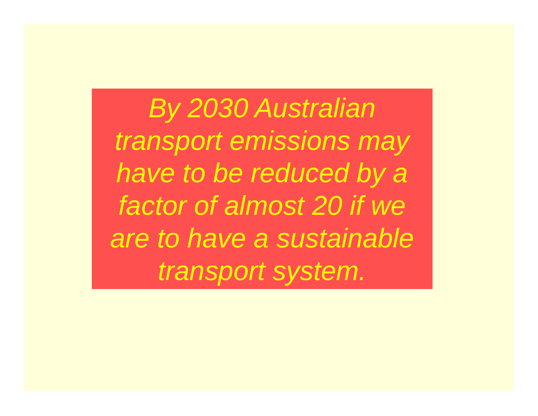*By 2030 Australian transport emissions may have to be reduced by a factor of almost 20 if we are to have a sustainable transport system.*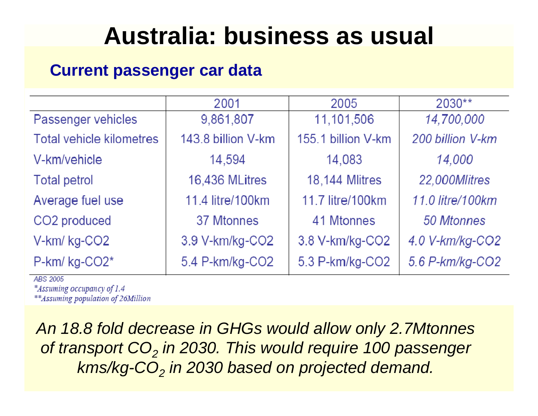### **Australia: business as usual**

#### **Current passenger car data**

|                          | 2001               | 2005                  | 2030**            |
|--------------------------|--------------------|-----------------------|-------------------|
| Passenger vehicles       | 9,861,807          | 11,101,506            | 14,700,000        |
| Total vehicle kilometres | 143.8 billion V-km | 155.1 billion V-km    | 200 billion V-km  |
| V-km/vehicle             | 14,594             | 14,083                | 14,000            |
| <b>Total petrol</b>      | 16,436 MLitres     | <b>18,144 Mlitres</b> | 22,000Mlitres     |
| Average fuel use         | 11.4 litre/100km   | 11.7 litre/100km      | 11.0 litre/100km  |
| CO2 produced             | 37 Mtonnes         | 41 Mtonnes            | <b>50 Mtonnes</b> |
| V-km/ kg-CO2             | 3.9 V-km/kg-CO2    | 3.8 V-km/kg-CO2       | 4.0 V-km/kg-CO2   |
| P-km/ kg-CO2*            | 5.4 P-km/kg-CO2    | 5.3 P-km/kg-CO2       | 5.6 P-km/kg-CO2   |

ABS 2005

\*Assuming occupancy of 1.4 \*\* Assuming population of 26Million

*An 18.8 fold decrease in GHGs would allow only 2.7Mtonnes of transport CO 2 in 2030. This would require 100 passenger kms/kg-CO 2 in 2030 based on projected demand.*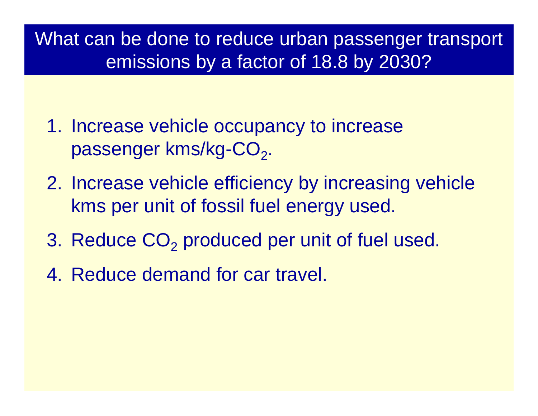#### What can be done to reduce urban passenger transport emissions by a factor of 18.8 by 2030?

- 1. Increase vehicle occupancy to increase passenger kms/kg-CO<sub>2</sub>.
- 2. Increase vehicle efficiency by increasing vehicle kms per unit of fossil fuel energy used.
- 3. Reduce  $\mathsf{CO}_2$  produced per unit of fuel used.
- 4. Reduce demand for car travel.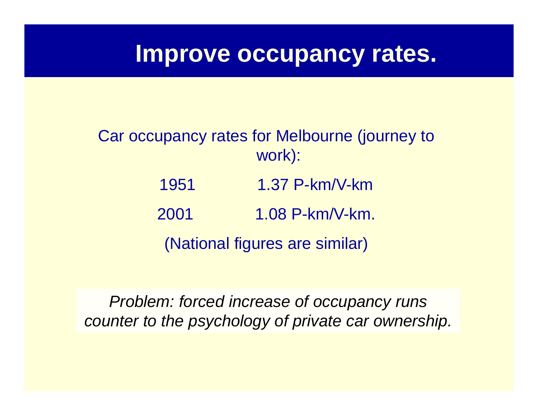### **Improve occupancy rates.**

## Car occupancy rates for Melbourne (journey to work): 1951 1.37 P-km/V-km2001 1.08 P-km/V-km. (National figures are similar)

*Problem: forced increase of occupancy runs counter to the psychology of private car ownership.*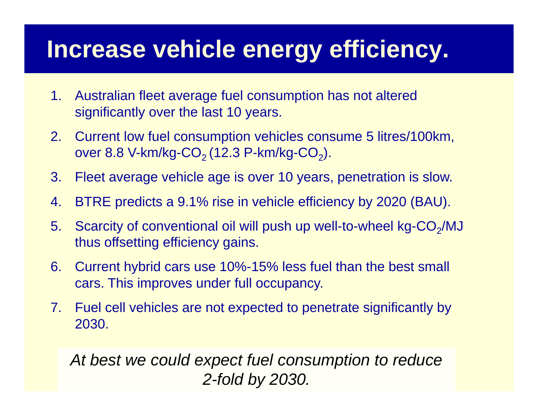## **Increase vehicle energy efficiency.**

- 1. Australian fleet average fuel consumption has not altered significantly over the last 10 years.
- 2. Current low fuel consumption vehicles consume 5 litres/100km, over 8.8 V-km/kg-CO $_2$  (12.3 P-km/kg-CO $_2$ ).  $\,$
- 3. Fleet average vehicle age is over 10 years, penetration is slow.
- 4.BTRE predicts a 9.1% rise in vehicle efficiency by 2020 (BAU).
- 5. Scarcity of conventional oil will push up well-to-wheel kg-CO<sub>2</sub>/MJ thus offsetting efficiency gains.
- 6. Current hybrid cars use 10%-15% less fuel than the best small cars. This improves under full occupancy.
- 7. Fuel cell vehicles are not expected to penetrate significantly by 2030.

*At best we could expect fuel consumption to reduce 2-fold by 2030.*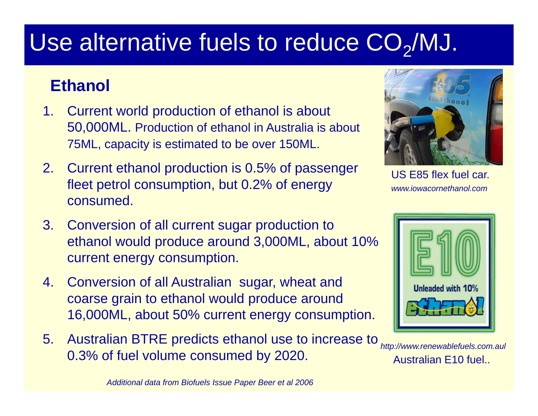## Use alternative fuels to reduce  $\mathrm{CO}_2\mathrm{/MJ}.$

#### **Ethanol**

- 1. Current world production of ethanol is about 50,000ML. Production of ethanol in Australia is about 75ML, capacity is estimated to be over 150ML.
- 2. Current ethanol production is 0.5% of passenger fleet petrol consumption, but 0.2% of energy consumed.
- 3. Conversion of all current sugar production to ethanol would produce around 3,000ML, about 10% current energy consumption.
- 4. Conversion of all Australian sugar, wheat and coarse grain to ethanol would produce around 16,000ML, about 50% current energy consumption.
- 5. Australian BTRE predicts ethanol use to increase to 0.3% of fuel volume consumed by 2020.





US E85 flex fuel car. *www.iowacornethanol.com* 



*http://www.renewablefuels.com.aul* Australian E10 fuel..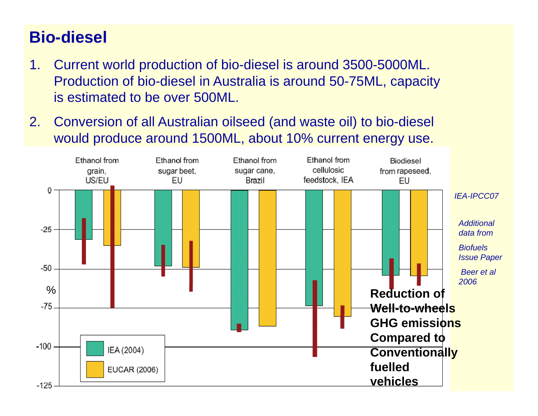#### **Bio-diesel**

- 1. Current world production of bio-diesel is around 3500-5000ML. Production of bio-diesel in Australia is around 50-75ML, capacity is estimated to be over 500ML.
- 2. Conversion of all Australian oilseed (and waste oil) to bio-diesel would produce around 1500ML, about 10% current energy use.

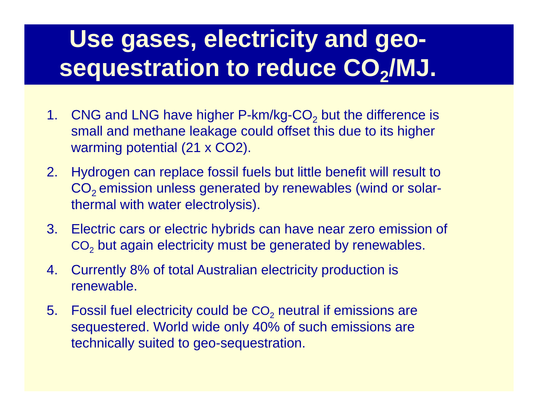## **Use gases, electricity and geosequestration to reduce CO 2/MJ.**

- 1.  $\,$  CNG and LNG have higher P-km/kg-CO $_2$  but the difference is small and methane leakage could offset this due to its higher warming potential (21 x CO2).
- 2. Hydrogen can replace fossil fuels but little benefit will result to CO<sub>2</sub> emission unless generated by renewables (wind or solarthermal with water electrolysis).
- 3. Electric cars or electric hybrids can have near zero emission of CO $_{\rm 2}$  but again electricity must be generated by renewables.
- 4. Currently 8% of total Australian electricity production is renewable.
- 5. Fossil fuel electricity could be CO<sub>2</sub> neutral if emissions are sequestered. World wide only 40% of such emissions are technically suited to geo-sequestration.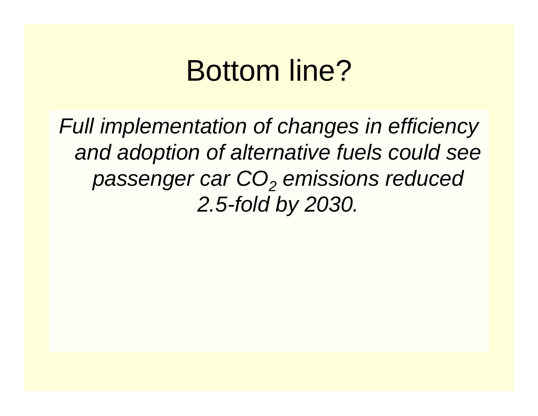## Bottom line?

*Full implementation of changes in efficiency and adoption of alternative fuels could see passenger car CO 2 emissions reduced 2.5-fold by 2030.*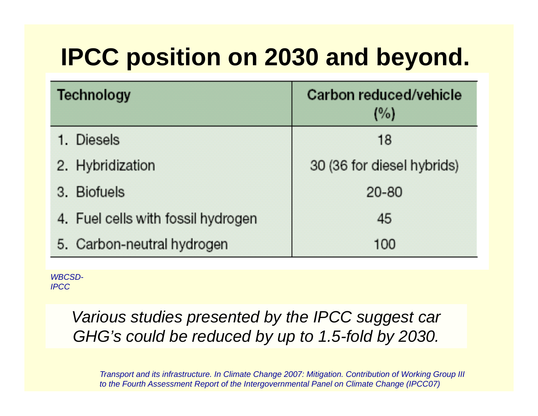## **IPCC position on 2030 and beyond.**

| Technology                         | Carbon reduced/vehicle<br>$(^{0}/_{0})$ |
|------------------------------------|-----------------------------------------|
| 1 Diesels                          | 18                                      |
| 2. Hybridization                   | 30 (36 for diesel hybrids)              |
| 3. Biofuels                        | 20-80                                   |
| 4. Fuel cells with fossil hydrogen | 45                                      |
| 5. Carbon-neutral hydrogen         | 100                                     |

*WBCSD-IPCC*

#### *Various studies presented by the IPCC suggest car GHG's could be reduced by up to 1.5-fold by 2030.*

*Transport and its infrastructure. In Climate Change 2007: Mitigation. Contribution of Working Group III to the Fourth Assessment Report of the Intergovernmental Panel on Climate Change (IPCC07)*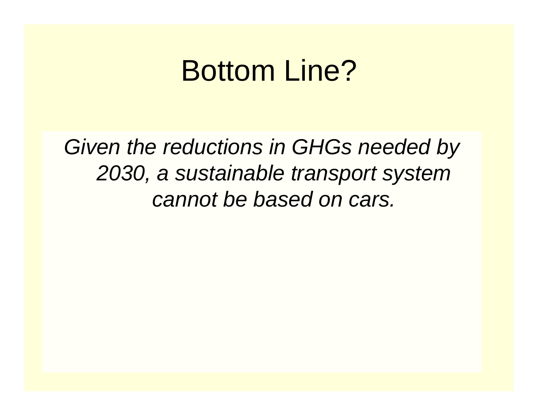## Bottom Line?

*Given the reductions in GHGs needed by 2030, a sustainable transport system cannot be based on cars.*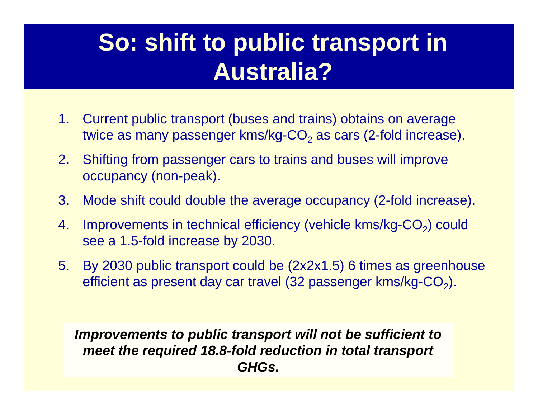## **So: shift to public transport in Australia?**

- 1. Current public transport (buses and trains) obtains on average twice as many passenger kms/kg-CO $_{\rm 2}$  as cars (2-fold increase).
- 2. Shifting from passenger cars to trains and buses will improve occupancy (non-peak).
- 3. Mode shift could double the average occupancy (2-fold increase).
- 4.. Improvements in technical efficiency (vehicle kms/kg-CO<sub>2</sub>) could see a 1.5-fold increase by 2030.
- 5. By 2030 public transport could be (2x2x1.5) 6 times as greenhouse efficient as present day car travel (32 passenger kms/kg-CO $_{\rm 2}$ ).

*Improvements to public transport will not be sufficient to meet the required 18.8-fold reduction in total transport GHGs.*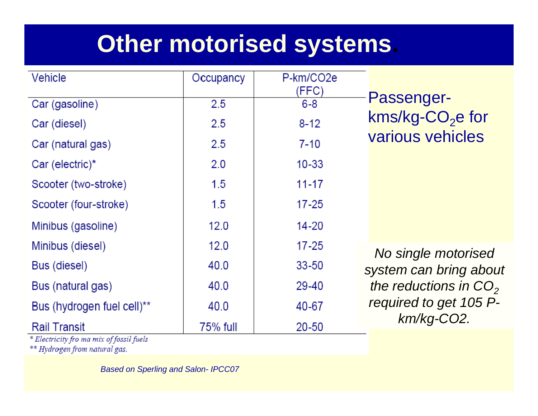## **Other motorised systems .**

| Vehicle                    | Occupancy | P-km/CO2e<br>(FFC) |                         |
|----------------------------|-----------|--------------------|-------------------------|
| Car (gasoline)             | 2.5       | $6 - 8$            | Passenger-              |
| Car (diesel)               | 2.5       | $8 - 12$           | $kms/kg-CO2e for$       |
| Car (natural gas)          | 2.5       | $7 - 10$           | various vehicles        |
| Car (electric)*            | 2.0       | $10 - 33$          |                         |
| Scooter (two-stroke)       | 1.5       | $11 - 17$          |                         |
| Scooter (four-stroke)      | 1.5       | $17 - 25$          |                         |
| Minibus (gasoline)         | 12.0      | 14-20              |                         |
| Minibus (diesel)           | 12.0      | $17 - 25$          | No single motorised     |
| Bus (diesel)               | 40.0      | $33 - 50$          | system can bring about  |
| Bus (natural gas)          | 40.0      | 29-40              | the reductions in $CO2$ |
| Bus (hydrogen fuel cell)** | 40.0      | 40-67              | required to get 105 P-  |
| <b>Rail Transit</b>        | 75% full  | $20 - 50$          | km/kg-CO2.              |

\* Electricity fro ma mix of fossil fuels

\*\* Hydrogen from natural gas.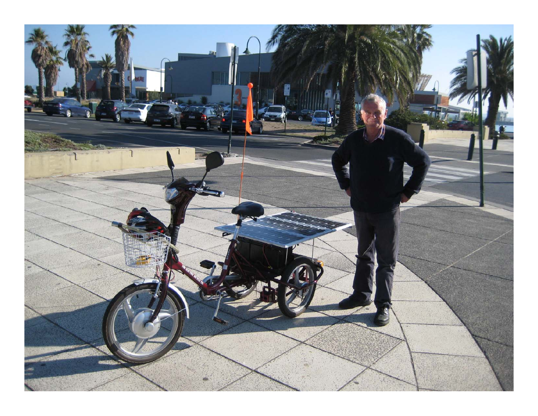